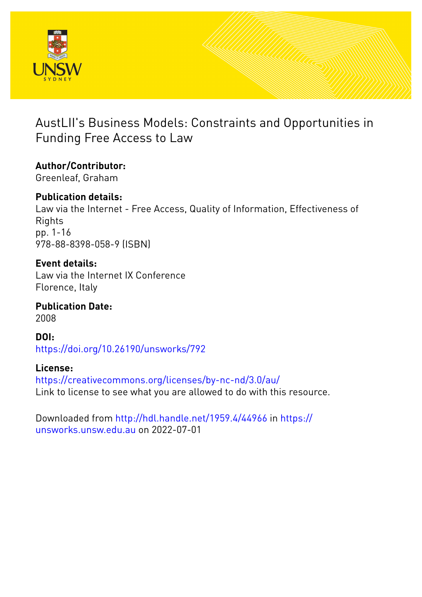

# AustLII's Business Models: Constraints and Opportunities in Funding Free Access to Law

**Author/Contributor:** Greenleaf, Graham

**Publication details:** Law via the Internet - Free Access, Quality of Information, Effectiveness of Rights pp. 1-16 978-88-8398-058-9 (ISBN)

**Event details:** Law via the Internet IX Conference Florence, Italy

**Publication Date:** 2008

**DOI:** [https://doi.org/10.26190/unsworks/792](http://dx.doi.org/https://doi.org/10.26190/unsworks/792)

**License:** <https://creativecommons.org/licenses/by-nc-nd/3.0/au/> Link to license to see what you are allowed to do with this resource.

Downloaded from <http://hdl.handle.net/1959.4/44966> in [https://](https://unsworks.unsw.edu.au) [unsworks.unsw.edu.au](https://unsworks.unsw.edu.au) on 2022-07-01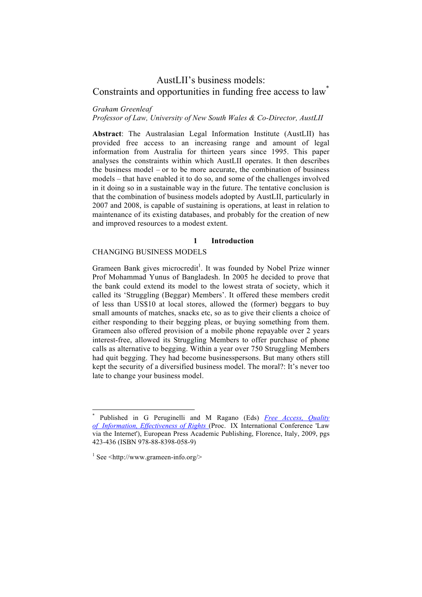# AustLII's business models: Constraints and opportunities in funding free access to law<sup>\*</sup>

#### *Graham Greenleaf*

*Professor of Law, University of New South Wales & Co-Director, AustLII*

**Abstract**: The Australasian Legal Information Institute (AustLII) has provided free access to an increasing range and amount of legal information from Australia for thirteen years since 1995. This paper analyses the constraints within which AustLII operates. It then describes the business model – or to be more accurate, the combination of business models – that have enabled it to do so, and some of the challenges involved in it doing so in a sustainable way in the future. The tentative conclusion is that the combination of business models adopted by AustLII, particularly in 2007 and 2008, is capable of sustaining is operations, at least in relation to maintenance of its existing databases, and probably for the creation of new and improved resources to a modest extent.

#### **1 Introduction**

# CHANGING BUSINESS MODELS

Grameen Bank gives microcredit<sup>1</sup>. It was founded by Nobel Prize winner Prof Mohammad Yunus of Bangladesh. In 2005 he decided to prove that the bank could extend its model to the lowest strata of society, which it called its 'Struggling (Beggar) Members'. It offered these members credit of less than US\$10 at local stores, allowed the (former) beggars to buy small amounts of matches, snacks etc, so as to give their clients a choice of either responding to their begging pleas, or buying something from them. Grameen also offered provision of a mobile phone repayable over 2 years interest-free, allowed its Struggling Members to offer purchase of phone calls as alternative to begging. Within a year over 750 Struggling Members had quit begging. They had become businesspersons. But many others still kept the security of a diversified business model. The moral?: It's never too late to change your business model.

 <sup>\*</sup> Published in G Peruginelli and M Ragano (Eds) *Free Access, Quality of Information, Effectiveness of Rights* (Proc. IX International Conference 'Law via the Internet'), European Press Academic Publishing, Florence, Italy, 2009, pgs 423-436 (ISBN 978-88-8398-058-9)

<sup>1</sup> See <http://www.grameen-info.org/>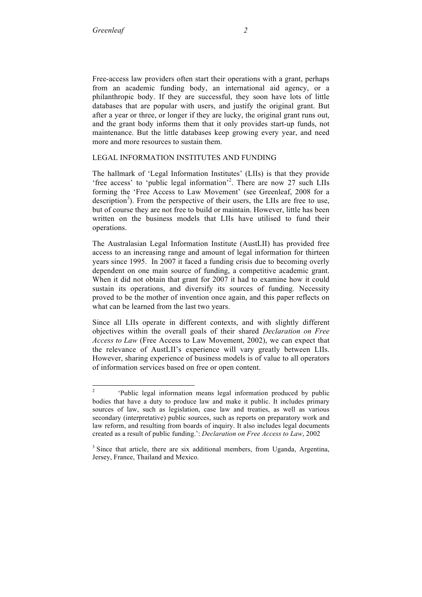Free-access law providers often start their operations with a grant, perhaps from an academic funding body, an international aid agency, or a philanthropic body. If they are successful, they soon have lots of little databases that are popular with users, and justify the original grant. But after a year or three, or longer if they are lucky, the original grant runs out, and the grant body informs them that it only provides start-up funds, not maintenance. But the little databases keep growing every year, and need more and more resources to sustain them.

#### LEGAL INFORMATION INSTITUTES AND FUNDING

The hallmark of 'Legal Information Institutes' (LIIs) is that they provide 'free access' to 'public legal information'<sup>2</sup>. There are now 27 such LIIs forming the 'Free Access to Law Movement' (see Greenleaf, 2008 for a description<sup>3</sup>). From the perspective of their users, the LIIs are free to use, but of course they are not free to build or maintain. However, little has been written on the business models that LIIs have utilised to fund their operations.

The Australasian Legal Information Institute (AustLII) has provided free access to an increasing range and amount of legal information for thirteen years since 1995. In 2007 it faced a funding crisis due to becoming overly dependent on one main source of funding, a competitive academic grant. When it did not obtain that grant for 2007 it had to examine how it could sustain its operations, and diversify its sources of funding. Necessity proved to be the mother of invention once again, and this paper reflects on what can be learned from the last two years.

Since all LIIs operate in different contexts, and with slightly different objectives within the overall goals of their shared *Declaration on Free Access to Law* (Free Access to Law Movement, 2002), we can expect that the relevance of AustLII's experience will vary greatly between LIIs. However, sharing experience of business models is of value to all operators of information services based on free or open content.

<sup>&</sup>lt;sup>2</sup> 'Public legal information means legal information produced by public bodies that have a duty to produce law and make it public. It includes primary sources of law, such as legislation, case law and treaties, as well as various secondary (interpretative) public sources, such as reports on preparatory work and law reform, and resulting from boards of inquiry. It also includes legal documents created as a result of public funding.': *Declaration on Free Access to Law*, 2002

<sup>&</sup>lt;sup>3</sup> Since that article, there are six additional members, from Uganda, Argentina, Jersey, France, Thailand and Mexico.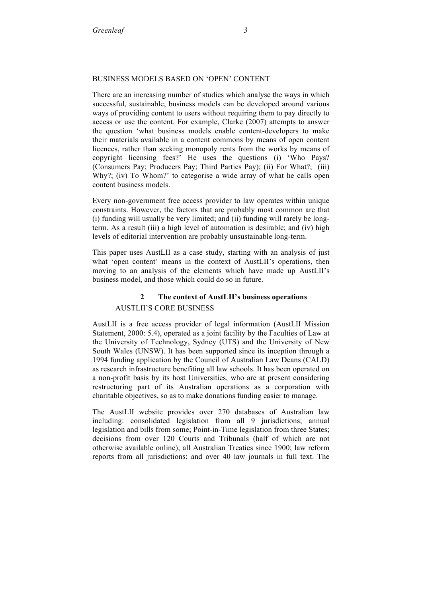#### BUSINESS MODELS BASED ON 'OPEN' CONTENT

There are an increasing number of studies which analyse the ways in which successful, sustainable, business models can be developed around various ways of providing content to users without requiring them to pay directly to access or use the content. For example, Clarke (2007) attempts to answer the question 'what business models enable content-developers to make their materials available in a content commons by means of open content licences, rather than seeking monopoly rents from the works by means of copyright licensing fees?' He uses the questions (i) 'Who Pays? (Consumers Pay; Producers Pay; Third Parties Pay); (ii) For What?; (iii) Why?; (iv) To Whom?' to categorise a wide array of what he calls open content business models.

Every non-government free access provider to law operates within unique constraints. However, the factors that are probably most common are that (i) funding will usually be very limited; and (ii) funding will rarely be longterm. As a result (iii) a high level of automation is desirable; and (iv) high levels of editorial intervention are probably unsustainable long-term.

This paper uses AustLII as a case study, starting with an analysis of just what 'open content' means in the context of AustLII's operations, then moving to an analysis of the elements which have made up AustLII's business model, and those which could do so in future.

# **2 The context of AustLII's business operations** AUSTLII'S CORE BUSINESS

AustLII is a free access provider of legal information (AustLII Mission Statement, 2000: 5.4), operated as a joint facility by the Faculties of Law at the University of Technology, Sydney (UTS) and the University of New South Wales (UNSW). It has been supported since its inception through a 1994 funding application by the Council of Australian Law Deans (CALD) as research infrastructure benefiting all law schools. It has been operated on a non-profit basis by its host Universities, who are at present considering restructuring part of its Australian operations as a corporation with charitable objectives, so as to make donations funding easier to manage.

The AustLII website provides over 270 databases of Australian law including: consolidated legislation from all 9 jurisdictions; annual legislation and bills from some; Point-in-Time legislation from three States; decisions from over 120 Courts and Tribunals (half of which are not otherwise available online); all Australian Treaties since 1900; law reform reports from all jurisdictions; and over 40 law journals in full text. The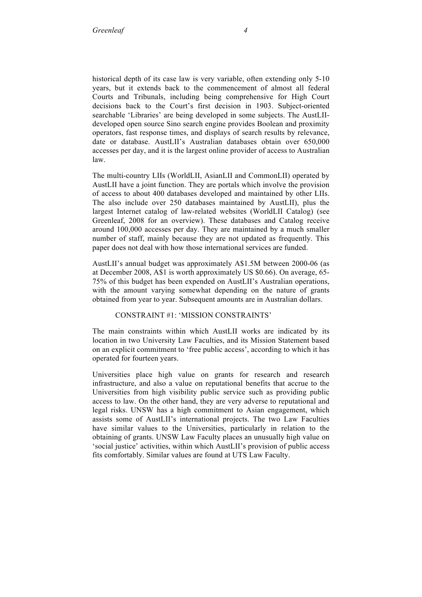historical depth of its case law is very variable, often extending only 5-10 years, but it extends back to the commencement of almost all federal Courts and Tribunals, including being comprehensive for High Court decisions back to the Court's first decision in 1903. Subject-oriented searchable 'Libraries' are being developed in some subjects. The AustLIIdeveloped open source Sino search engine provides Boolean and proximity operators, fast response times, and displays of search results by relevance, date or database. AustLII's Australian databases obtain over 650,000 accesses per day, and it is the largest online provider of access to Australian law.

The multi-country LIIs (WorldLII, AsianLII and CommonLII) operated by AustLII have a joint function. They are portals which involve the provision of access to about 400 databases developed and maintained by other LIIs. The also include over 250 databases maintained by AustLII), plus the largest Internet catalog of law-related websites (WorldLII Catalog) (see Greenleaf, 2008 for an overview). These databases and Catalog receive around 100,000 accesses per day. They are maintained by a much smaller number of staff, mainly because they are not updated as frequently. This paper does not deal with how those international services are funded.

AustLII's annual budget was approximately A\$1.5M between 2000-06 (as at December 2008, A\$1 is worth approximately US \$0.66). On average, 65- 75% of this budget has been expended on AustLII's Australian operations, with the amount varying somewhat depending on the nature of grants obtained from year to year. Subsequent amounts are in Australian dollars.

#### CONSTRAINT #1: 'MISSION CONSTRAINTS'

The main constraints within which AustLII works are indicated by its location in two University Law Faculties, and its Mission Statement based on an explicit commitment to 'free public access', according to which it has operated for fourteen years.

Universities place high value on grants for research and research infrastructure, and also a value on reputational benefits that accrue to the Universities from high visibility public service such as providing public access to law. On the other hand, they are very adverse to reputational and legal risks. UNSW has a high commitment to Asian engagement, which assists some of AustLII's international projects. The two Law Faculties have similar values to the Universities, particularly in relation to the obtaining of grants. UNSW Law Faculty places an unusually high value on 'social justice' activities, within which AustLII's provision of public access fits comfortably. Similar values are found at UTS Law Faculty.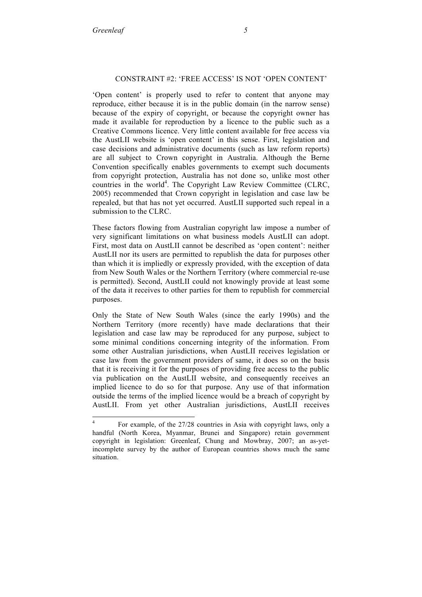#### CONSTRAINT #2: 'FREE ACCESS' IS NOT 'OPEN CONTENT'

'Open content' is properly used to refer to content that anyone may reproduce, either because it is in the public domain (in the narrow sense) because of the expiry of copyright, or because the copyright owner has made it available for reproduction by a licence to the public such as a Creative Commons licence. Very little content available for free access via the AustLII website is 'open content' in this sense. First, legislation and case decisions and administrative documents (such as law reform reports) are all subject to Crown copyright in Australia. Although the Berne Convention specifically enables governments to exempt such documents from copyright protection, Australia has not done so, unlike most other countries in the world<sup>4</sup>. The Copyright Law Review Committee (CLRC, 2005) recommended that Crown copyright in legislation and case law be repealed, but that has not yet occurred. AustLII supported such repeal in a submission to the CLRC.

These factors flowing from Australian copyright law impose a number of very significant limitations on what business models AustLII can adopt. First, most data on AustLII cannot be described as 'open content': neither AustLII nor its users are permitted to republish the data for purposes other than which it is impliedly or expressly provided, with the exception of data from New South Wales or the Northern Territory (where commercial re-use is permitted). Second, AustLII could not knowingly provide at least some of the data it receives to other parties for them to republish for commercial purposes.

Only the State of New South Wales (since the early 1990s) and the Northern Territory (more recently) have made declarations that their legislation and case law may be reproduced for any purpose, subject to some minimal conditions concerning integrity of the information. From some other Australian jurisdictions, when AustLII receives legislation or case law from the government providers of same, it does so on the basis that it is receiving it for the purposes of providing free access to the public via publication on the AustLII website, and consequently receives an implied licence to do so for that purpose. Any use of that information outside the terms of the implied licence would be a breach of copyright by AustLII. From yet other Australian jurisdictions, AustLII receives

 <sup>4</sup> For example, of the 27/28 countries in Asia with copyright laws, only a handful (North Korea, Myanmar, Brunei and Singapore) retain government copyright in legislation: Greenleaf, Chung and Mowbray, 2007; an as-yetincomplete survey by the author of European countries shows much the same situation.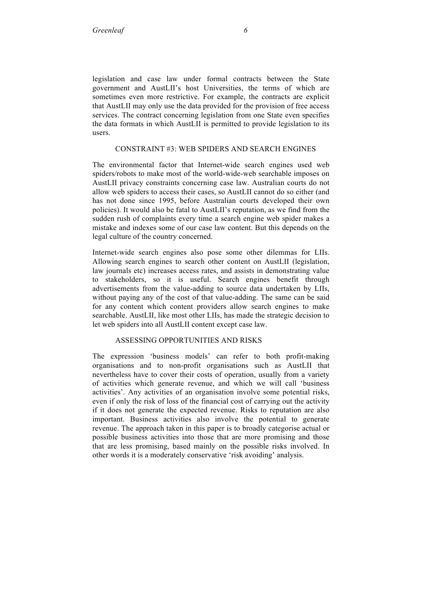legislation and case law under formal contracts between the State government and AustLII's host Universities, the terms of which are sometimes even more restrictive. For example, the contracts are explicit that AustLII may only use the data provided for the provision of free access services. The contract concerning legislation from one State even specifies the data formats in which AustLII is permitted to provide legislation to its users.

#### CONSTRAINT #3: WEB SPIDERS AND SEARCH ENGINES

The environmental factor that Internet-wide search engines used web spiders/robots to make most of the world-wide-web searchable imposes on AustLII privacy constraints concerning case law. Australian courts do not allow web spiders to access their cases, so AustLII cannot do so either (and has not done since 1995, before Australian courts developed their own policies). It would also be fatal to AustLII's reputation, as we find from the sudden rush of complaints every time a search engine web spider makes a mistake and indexes some of our case law content. But this depends on the legal culture of the country concerned.

Internet-wide search engines also pose some other dilemmas for LIIs. Allowing search engines to search other content on AustLII (legislation, law journals etc) increases access rates, and assists in demonstrating value to stakeholders, so it is useful. Search engines benefit through advertisements from the value-adding to source data undertaken by LIIs, without paying any of the cost of that value-adding. The same can be said for any content which content providers allow search engines to make searchable. AustLII, like most other LIIs, has made the strategic decision to let web spiders into all AustLII content except case law.

#### ASSESSING OPPORTUNITIES AND RISKS

The expression 'business models' can refer to both profit-making organisations and to non-profit organisations such as AustLII that nevertheless have to cover their costs of operation, usually from a variety of activities which generate revenue, and which we will call 'business activities'. Any activities of an organisation involve some potential risks, even if only the risk of loss of the financial cost of carrying out the activity if it does not generate the expected revenue. Risks to reputation are also important. Business activities also involve the potential to generate revenue. The approach taken in this paper is to broadly categorise actual or possible business activities into those that are more promising and those that are less promising, based mainly on the possible risks involved. In other words it is a moderately conservative 'risk avoiding' analysis.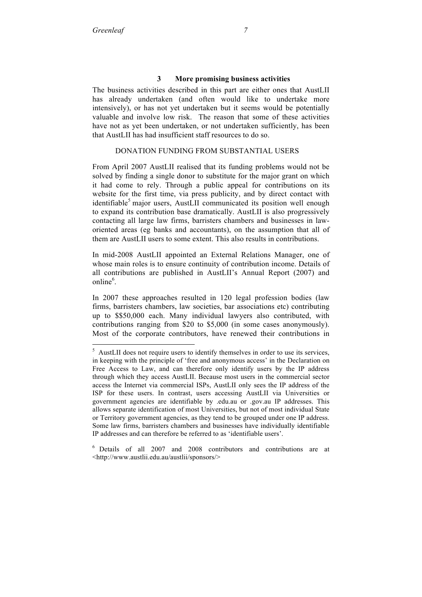## **3 More promising business activities**

The business activities described in this part are either ones that AustLII has already undertaken (and often would like to undertake more intensively), or has not yet undertaken but it seems would be potentially valuable and involve low risk. The reason that some of these activities have not as yet been undertaken, or not undertaken sufficiently, has been that AustLII has had insufficient staff resources to do so.

## DONATION FUNDING FROM SUBSTANTIAL USERS

From April 2007 AustLII realised that its funding problems would not be solved by finding a single donor to substitute for the major grant on which it had come to rely. Through a public appeal for contributions on its website for the first time, via press publicity, and by direct contact with identifiable<sup>5</sup> major users, AustLII communicated its position well enough to expand its contribution base dramatically. AustLII is also progressively contacting all large law firms, barristers chambers and businesses in laworiented areas (eg banks and accountants), on the assumption that all of them are AustLII users to some extent. This also results in contributions.

In mid-2008 AustLII appointed an External Relations Manager, one of whose main roles is to ensure continuity of contribution income. Details of all contributions are published in AustLII's Annual Report (2007) and online<sup>6</sup>.

In 2007 these approaches resulted in 120 legal profession bodies (law firms, barristers chambers, law societies, bar associations etc) contributing up to \$\$50,000 each. Many individual lawyers also contributed, with contributions ranging from \$20 to \$5,000 (in some cases anonymously). Most of the corporate contributors, have renewed their contributions in

 <sup>5</sup> <sup>5</sup> AustLII does not require users to identify themselves in order to use its services, in keeping with the principle of 'free and anonymous access' in the Declaration on Free Access to Law, and can therefore only identify users by the IP address through which they access AustLII. Because most users in the commercial sector access the Internet via commercial ISPs, AustLII only sees the IP address of the ISP for these users. In contrast, users accessing AustLII via Universities or government agencies are identifiable by .edu.au or .gov.au IP addresses. This allows separate identification of most Universities, but not of most individual State or Territory government agencies, as they tend to be grouped under one IP address. Some law firms, barristers chambers and businesses have individually identifiable IP addresses and can therefore be referred to as 'identifiable users'.

<sup>6</sup> Details of all 2007 and 2008 contributors and contributions are at <http://www.austlii.edu.au/austlii/sponsors/>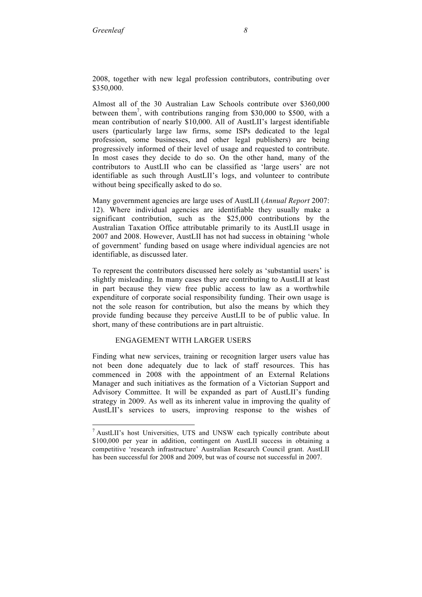2008, together with new legal profession contributors, contributing over \$350,000.

Almost all of the 30 Australian Law Schools contribute over \$360,000 between them<sup>7</sup>, with contributions ranging from \$30,000 to \$500, with a mean contribution of nearly \$10,000. All of AustLII's largest identifiable users (particularly large law firms, some ISPs dedicated to the legal profession, some businesses, and other legal publishers) are being progressively informed of their level of usage and requested to contribute. In most cases they decide to do so. On the other hand, many of the contributors to AustLII who can be classified as 'large users' are not identifiable as such through AustLII's logs, and volunteer to contribute without being specifically asked to do so.

Many government agencies are large uses of AustLII (*Annual Report* 2007: 12). Where individual agencies are identifiable they usually make a significant contribution, such as the \$25,000 contributions by the Australian Taxation Office attributable primarily to its AustLII usage in 2007 and 2008. However, AustLII has not had success in obtaining 'whole of government' funding based on usage where individual agencies are not identifiable, as discussed later.

To represent the contributors discussed here solely as 'substantial users' is slightly misleading. In many cases they are contributing to AustLII at least in part because they view free public access to law as a worthwhile expenditure of corporate social responsibility funding. Their own usage is not the sole reason for contribution, but also the means by which they provide funding because they perceive AustLII to be of public value. In short, many of these contributions are in part altruistic.

# ENGAGEMENT WITH LARGER USERS

Finding what new services, training or recognition larger users value has not been done adequately due to lack of staff resources. This has commenced in 2008 with the appointment of an External Relations Manager and such initiatives as the formation of a Victorian Support and Advisory Committee. It will be expanded as part of AustLII's funding strategy in 2009. As well as its inherent value in improving the quality of AustLII's services to users, improving response to the wishes of

<sup>-&</sup>lt;br>7 <sup>7</sup> AustLII's host Universities, UTS and UNSW each typically contribute about \$100,000 per year in addition, contingent on AustLII success in obtaining a competitive 'research infrastructure' Australian Research Council grant. AustLII has been successful for 2008 and 2009, but was of course not successful in 2007.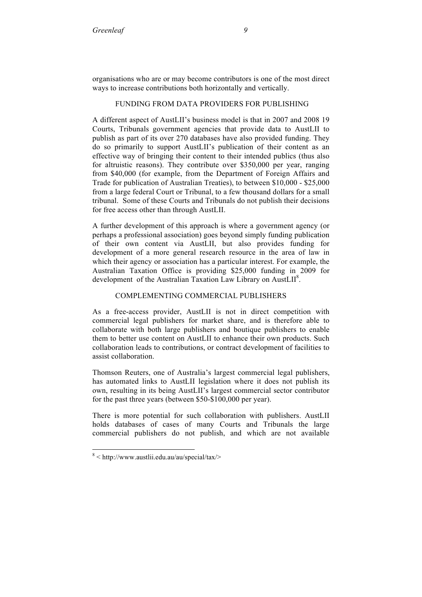organisations who are or may become contributors is one of the most direct ways to increase contributions both horizontally and vertically.

#### FUNDING FROM DATA PROVIDERS FOR PUBLISHING

A different aspect of AustLII's business model is that in 2007 and 2008 19 Courts, Tribunals government agencies that provide data to AustLII to publish as part of its over 270 databases have also provided funding. They do so primarily to support AustLII's publication of their content as an effective way of bringing their content to their intended publics (thus also for altruistic reasons). They contribute over \$350,000 per year, ranging from \$40,000 (for example, from the Department of Foreign Affairs and Trade for publication of Australian Treaties), to between \$10,000 - \$25,000 from a large federal Court or Tribunal, to a few thousand dollars for a small tribunal. Some of these Courts and Tribunals do not publish their decisions for free access other than through AustLII.

A further development of this approach is where a government agency (or perhaps a professional association) goes beyond simply funding publication of their own content via AustLII, but also provides funding for development of a more general research resource in the area of law in which their agency or association has a particular interest. For example, the Australian Taxation Office is providing \$25,000 funding in 2009 for development of the Australian Taxation Law Library on AustLII<sup>8</sup>.

# COMPLEMENTING COMMERCIAL PUBLISHERS

As a free-access provider, AustLII is not in direct competition with commercial legal publishers for market share, and is therefore able to collaborate with both large publishers and boutique publishers to enable them to better use content on AustLII to enhance their own products. Such collaboration leads to contributions, or contract development of facilities to assist collaboration.

Thomson Reuters, one of Australia's largest commercial legal publishers, has automated links to AustLII legislation where it does not publish its own, resulting in its being AustLII's largest commercial sector contributor for the past three years (between \$50-\$100,000 per year).

There is more potential for such collaboration with publishers. AustLII holds databases of cases of many Courts and Tribunals the large commercial publishers do not publish, and which are not available

 <sup>8</sup>  $8$  < http://www.austlii.edu.au/au/special/tax/>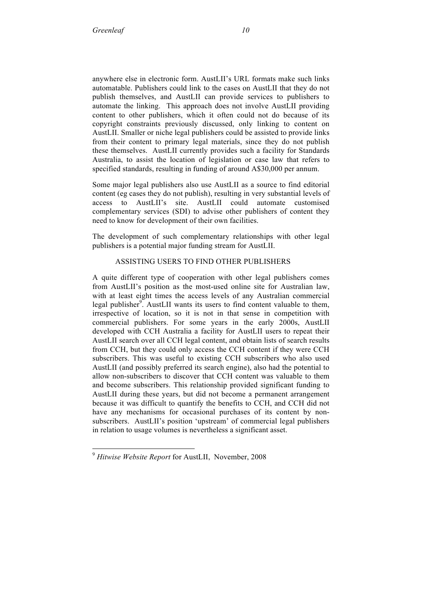anywhere else in electronic form. AustLII's URL formats make such links automatable. Publishers could link to the cases on AustLII that they do not publish themselves, and AustLII can provide services to publishers to automate the linking. This approach does not involve AustLII providing content to other publishers, which it often could not do because of its copyright constraints previously discussed, only linking to content on AustLII. Smaller or niche legal publishers could be assisted to provide links from their content to primary legal materials, since they do not publish these themselves. AustLII currently provides such a facility for Standards Australia, to assist the location of legislation or case law that refers to specified standards, resulting in funding of around A\$30,000 per annum.

Some major legal publishers also use AustLII as a source to find editorial content (eg cases they do not publish), resulting in very substantial levels of access to AustLII's site. AustLII could automate customised complementary services (SDI) to advise other publishers of content they need to know for development of their own facilities.

The development of such complementary relationships with other legal publishers is a potential major funding stream for AustLII.

# ASSISTING USERS TO FIND OTHER PUBLISHERS

A quite different type of cooperation with other legal publishers comes from AustLII's position as the most-used online site for Australian law, with at least eight times the access levels of any Australian commercial legal publisher $\frac{9}{2}$ . AustLII wants its users to find content valuable to them, irrespective of location, so it is not in that sense in competition with commercial publishers. For some years in the early 2000s, AustLII developed with CCH Australia a facility for AustLII users to repeat their AustLII search over all CCH legal content, and obtain lists of search results from CCH, but they could only access the CCH content if they were CCH subscribers. This was useful to existing CCH subscribers who also used AustLII (and possibly preferred its search engine), also had the potential to allow non-subscribers to discover that CCH content was valuable to them and become subscribers. This relationship provided significant funding to AustLII during these years, but did not become a permanent arrangement because it was difficult to quantify the benefits to CCH, and CCH did not have any mechanisms for occasional purchases of its content by nonsubscribers. AustLII's position 'upstream' of commercial legal publishers in relation to usage volumes is nevertheless a significant asset.

 <sup>9</sup> *Hitwise Website Report* for AustLII, November, 2008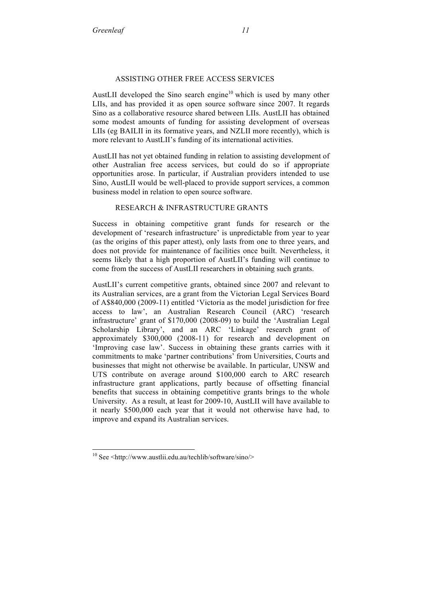# ASSISTING OTHER FREE ACCESS SERVICES

AustLII developed the Sino search engine<sup>10</sup> which is used by many other LIIs, and has provided it as open source software since 2007. It regards Sino as a collaborative resource shared between LIIs. AustLII has obtained some modest amounts of funding for assisting development of overseas LIIs (eg BAILII in its formative years, and NZLII more recently), which is more relevant to AustLII's funding of its international activities.

AustLII has not yet obtained funding in relation to assisting development of other Australian free access services, but could do so if appropriate opportunities arose. In particular, if Australian providers intended to use Sino, AustLII would be well-placed to provide support services, a common business model in relation to open source software.

# RESEARCH & INFRASTRUCTURE GRANTS

Success in obtaining competitive grant funds for research or the development of 'research infrastructure' is unpredictable from year to year (as the origins of this paper attest), only lasts from one to three years, and does not provide for maintenance of facilities once built. Nevertheless, it seems likely that a high proportion of AustLII's funding will continue to come from the success of AustLII researchers in obtaining such grants.

AustLII's current competitive grants, obtained since 2007 and relevant to its Australian services, are a grant from the Victorian Legal Services Board of A\$840,000 (2009-11) entitled 'Victoria as the model jurisdiction for free access to law', an Australian Research Council (ARC) 'research infrastructure' grant of \$170,000 (2008-09) to build the 'Australian Legal Scholarship Library', and an ARC 'Linkage' research grant of approximately \$300,000 (2008-11) for research and development on 'Improving case law'. Success in obtaining these grants carries with it commitments to make 'partner contributions' from Universities, Courts and businesses that might not otherwise be available. In particular, UNSW and UTS contribute on average around \$100,000 earch to ARC research infrastructure grant applications, partly because of offsetting financial benefits that success in obtaining competitive grants brings to the whole University. As a result, at least for 2009-10, AustLII will have available to it nearly \$500,000 each year that it would not otherwise have had, to improve and expand its Australian services.

 $10$  See <http://www.austlii.edu.au/techlib/software/sino/>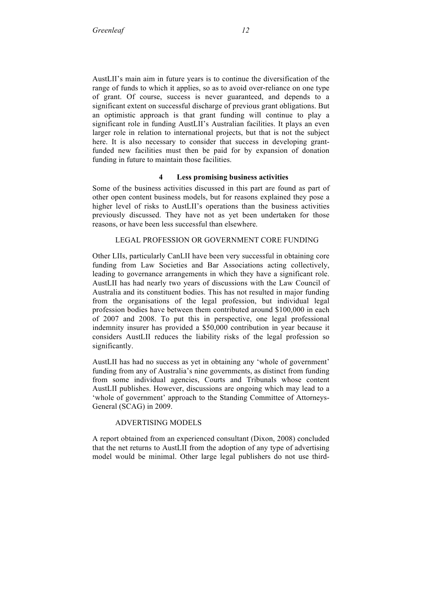AustLII's main aim in future years is to continue the diversification of the range of funds to which it applies, so as to avoid over-reliance on one type of grant. Of course, success is never guaranteed, and depends to a significant extent on successful discharge of previous grant obligations. But an optimistic approach is that grant funding will continue to play a significant role in funding AustLII's Australian facilities. It plays an even larger role in relation to international projects, but that is not the subject here. It is also necessary to consider that success in developing grantfunded new facilities must then be paid for by expansion of donation funding in future to maintain those facilities.

#### **4 Less promising business activities**

Some of the business activities discussed in this part are found as part of other open content business models, but for reasons explained they pose a higher level of risks to AustLII's operations than the business activities previously discussed. They have not as yet been undertaken for those reasons, or have been less successful than elsewhere.

# LEGAL PROFESSION OR GOVERNMENT CORE FUNDING

Other LIIs, particularly CanLII have been very successful in obtaining core funding from Law Societies and Bar Associations acting collectively, leading to governance arrangements in which they have a significant role. AustLII has had nearly two years of discussions with the Law Council of Australia and its constituent bodies. This has not resulted in major funding from the organisations of the legal profession, but individual legal profession bodies have between them contributed around \$100,000 in each of 2007 and 2008. To put this in perspective, one legal professional indemnity insurer has provided a \$50,000 contribution in year because it considers AustLII reduces the liability risks of the legal profession so significantly.

AustLII has had no success as yet in obtaining any 'whole of government' funding from any of Australia's nine governments, as distinct from funding from some individual agencies, Courts and Tribunals whose content AustLII publishes. However, discussions are ongoing which may lead to a 'whole of government' approach to the Standing Committee of Attorneys-General (SCAG) in 2009.

#### ADVERTISING MODELS

A report obtained from an experienced consultant (Dixon, 2008) concluded that the net returns to AustLII from the adoption of any type of advertising model would be minimal. Other large legal publishers do not use third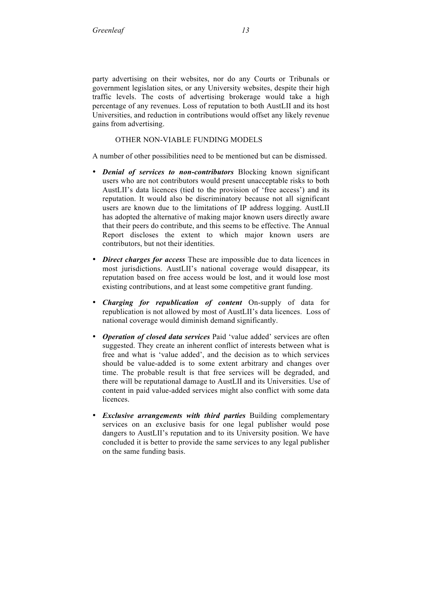party advertising on their websites, nor do any Courts or Tribunals or government legislation sites, or any University websites, despite their high traffic levels. The costs of advertising brokerage would take a high percentage of any revenues. Loss of reputation to both AustLII and its host Universities, and reduction in contributions would offset any likely revenue gains from advertising.

# OTHER NON-VIABLE FUNDING MODELS

A number of other possibilities need to be mentioned but can be dismissed.

- *Denial of services to non-contributors* Blocking known significant users who are not contributors would present unacceptable risks to both AustLII's data licences (tied to the provision of 'free access') and its reputation. It would also be discriminatory because not all significant users are known due to the limitations of IP address logging. AustLII has adopted the alternative of making major known users directly aware that their peers do contribute, and this seems to be effective. The Annual Report discloses the extent to which major known users are contributors, but not their identities.
- *Direct charges for access* These are impossible due to data licences in most jurisdictions. AustLII's national coverage would disappear, its reputation based on free access would be lost, and it would lose most existing contributions, and at least some competitive grant funding.
- *Charging for republication of content* On-supply of data for republication is not allowed by most of AustLII's data licences. Loss of national coverage would diminish demand significantly.
- *Operation of closed data services* Paid 'value added' services are often suggested. They create an inherent conflict of interests between what is free and what is 'value added', and the decision as to which services should be value-added is to some extent arbitrary and changes over time. The probable result is that free services will be degraded, and there will be reputational damage to AustLII and its Universities. Use of content in paid value-added services might also conflict with some data licences.
- *Exclusive arrangements with third parties* Building complementary services on an exclusive basis for one legal publisher would pose dangers to AustLII's reputation and to its University position. We have concluded it is better to provide the same services to any legal publisher on the same funding basis.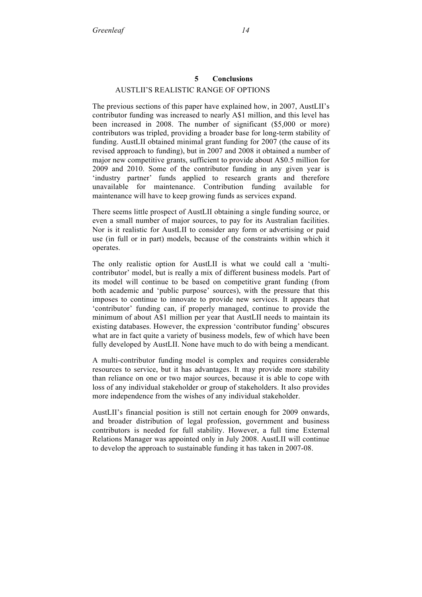# **5 Conclusions** AUSTLII'S REALISTIC RANGE OF OPTIONS

The previous sections of this paper have explained how, in 2007, AustLII's contributor funding was increased to nearly A\$1 million, and this level has been increased in 2008. The number of significant (\$5,000 or more) contributors was tripled, providing a broader base for long-term stability of funding. AustLII obtained minimal grant funding for 2007 (the cause of its revised approach to funding), but in 2007 and 2008 it obtained a number of major new competitive grants, sufficient to provide about A\$0.5 million for 2009 and 2010. Some of the contributor funding in any given year is 'industry partner' funds applied to research grants and therefore unavailable for maintenance. Contribution funding available for maintenance will have to keep growing funds as services expand.

There seems little prospect of AustLII obtaining a single funding source, or even a small number of major sources, to pay for its Australian facilities. Nor is it realistic for AustLII to consider any form or advertising or paid use (in full or in part) models, because of the constraints within which it operates.

The only realistic option for AustLII is what we could call a 'multicontributor' model, but is really a mix of different business models. Part of its model will continue to be based on competitive grant funding (from both academic and 'public purpose' sources), with the pressure that this imposes to continue to innovate to provide new services. It appears that 'contributor' funding can, if properly managed, continue to provide the minimum of about A\$1 million per year that AustLII needs to maintain its existing databases. However, the expression 'contributor funding' obscures what are in fact quite a variety of business models, few of which have been fully developed by AustLII. None have much to do with being a mendicant.

A multi-contributor funding model is complex and requires considerable resources to service, but it has advantages. It may provide more stability than reliance on one or two major sources, because it is able to cope with loss of any individual stakeholder or group of stakeholders. It also provides more independence from the wishes of any individual stakeholder.

AustLII's financial position is still not certain enough for 2009 onwards, and broader distribution of legal profession, government and business contributors is needed for full stability. However, a full time External Relations Manager was appointed only in July 2008. AustLII will continue to develop the approach to sustainable funding it has taken in 2007-08.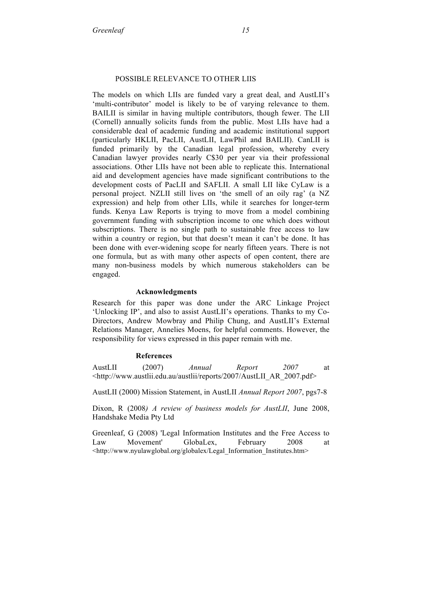#### POSSIBLE RELEVANCE TO OTHER LIIS

The models on which LIIs are funded vary a great deal, and AustLII's 'multi-contributor' model is likely to be of varying relevance to them. BAILII is similar in having multiple contributors, though fewer. The LII (Cornell) annually solicits funds from the public. Most LIIs have had a considerable deal of academic funding and academic institutional support (particularly HKLII, PacLII, AustLII, LawPhil and BAILII). CanLII is funded primarily by the Canadian legal profession, whereby every Canadian lawyer provides nearly C\$30 per year via their professional associations. Other LIIs have not been able to replicate this. International aid and development agencies have made significant contributions to the development costs of PacLII and SAFLII. A small LII like CyLaw is a personal project. NZLII still lives on 'the smell of an oily rag' (a NZ expression) and help from other LIIs, while it searches for longer-term funds. Kenya Law Reports is trying to move from a model combining government funding with subscription income to one which does without subscriptions. There is no single path to sustainable free access to law within a country or region, but that doesn't mean it can't be done. It has been done with ever-widening scope for nearly fifteen years. There is not one formula, but as with many other aspects of open content, there are many non-business models by which numerous stakeholders can be engaged.

#### **Acknowledgments**

Research for this paper was done under the ARC Linkage Project 'Unlocking IP', and also to assist AustLII's operations. Thanks to my Co-Directors, Andrew Mowbray and Philip Chung, and AustLII's External Relations Manager, Annelies Moens, for helpful comments. However, the responsibility for views expressed in this paper remain with me.

#### **References**

AustLII (2007) *Annual Report 2007* at <http://www.austlii.edu.au/austlii/reports/2007/AustLII\_AR\_2007.pdf>

AustLII (2000) Mission Statement, in AustLII *Annual Report 2007*, pgs7-8

Dixon, R (2008*) A review of business models for AustLII*, June 2008, Handshake Media Pty Ltd

Greenleaf, G (2008) 'Legal Information Institutes and the Free Access to Law Movement' GlobaLex, February 2008 at <http://www.nyulawglobal.org/globalex/Legal\_Information\_Institutes.htm>